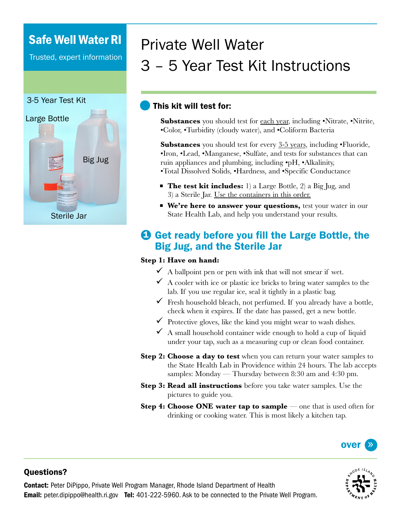# Safe Well Water RI

Trusted, expert information

### 3-5 Year Test Kit



# Private Well Water 3 – 5 Year Test Kit Instructions

### This kit will test for:

**Substances** you should test for each year, including •Nitrate, •Nitrite, •Color, •Turbidity (cloudy water), and •Coliform Bacteria

**Substances** you should test for every 3-5 years, including •Fluoride, •Iron, •Lead, •Manganese, •Sulfate, and tests for substances that can ruin appliances and plumbing, including •pH, •Alkalinity, •Total Dissolved Solids, •Hardness, and •Specific Conductance

- **The test kit includes:** 1) a Large Bottle, 2) a Big Jug, and 3) a Sterile Jar. Use the containers in this order.
- **We're here to answer your questions,** *test your water in our* State Health Lab, and help you understand your results.

## **O** Get ready before you fill the Large Bottle, the Big Jug, and the Sterile Jar

#### **Step 1: Have on hand:**

- $\checkmark$  A ballpoint pen or pen with ink that will not smear if wet.
- $\checkmark$  A cooler with ice or plastic ice bricks to bring water samples to the lab. If you use regular ice, seal it tightly in a plastic bag.
- $\checkmark$  Fresh household bleach, not perfumed. If you already have a bottle, check when it expires. If the date has passed, get a new bottle.
- $\checkmark$  Protective gloves, like the kind you might wear to wash dishes.
- $\checkmark$  A small household container wide enough to hold a cup of liquid under your tap, such as a measuring cup or clean food container.
- **Step 2: Choose a day to test** when you can return your water samples to the State Health Lab in Providence within 24 hours. The lab accepts samples: Monday — Thursday between 8:30 am and 4:30 pm.
- **Step 3: Read all instructions** before you take water samples. Use the pictures to guide you.
- **Step 4: Choose ONE water tap to sample** one that is used often for drinking or cooking water. This is most likely a kitchen tap.





### Questions?

Contact: Peter DiPippo, Private Well Program Manager, Rhode Island Department of Health **Email:** peter.dipippo@health.ri.gov **Tel:** 401-222-5960. Ask to be connected to the Private Well Program.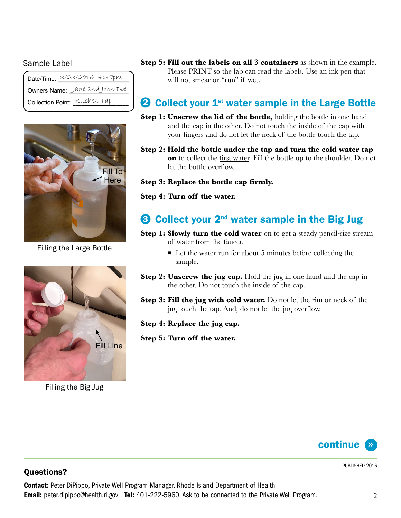#### Sample Label

|                                | Date/Time: 3/23/2016 4:35pm |
|--------------------------------|-----------------------------|
| Owners Name: Jane and John Doe |                             |
| Collection Point: Kitchen Tap  |                             |



Filling the Large Bottle



Filling the Big Jug

**Step 5: Fill out the labels on all 3 containers** as shown in the example. Please PRINT so the lab can read the labels. Use an ink pen that will not smear or "run" if wet.

# **2** Collect your  $1<sup>st</sup>$  water sample in the Large Bottle

- **Step 1: Unscrew the lid of the bottle,** holding the bottle in one hand and the cap in the other. Do not touch the inside of the cap with your fingers and do not let the neck of the bottle touch the tap.
- **Step 2: Hold the bottle under the tap and turn the cold water tap on** to collect the first water. Fill the bottle up to the shoulder. Do not let the bottle overflow.

#### **Step 3: Replace the bottle cap firmly.**

**Step 4: Turn off the water.**

# $3$  Collect your  $2^{nd}$  water sample in the Big Jug

- **Step 1: Slowly turn the cold water** on to get a steady pencil-size stream of water from the faucet.
	- Let the water run for about 5 minutes before collecting the sample.
- **Step 2: Unscrew the jug cap.** Hold the jug in one hand and the cap in the other. Do not touch the inside of the cap.
- **Step 3: Fill the jug with cold water.** Do not let the rim or neck of the jug touch the tap. And, do not let the jug overflow.
- **Step 4: Replace the jug cap.**
- **Step 5: Turn off the water.**



#### PUBLISHED 2016

### Questions?